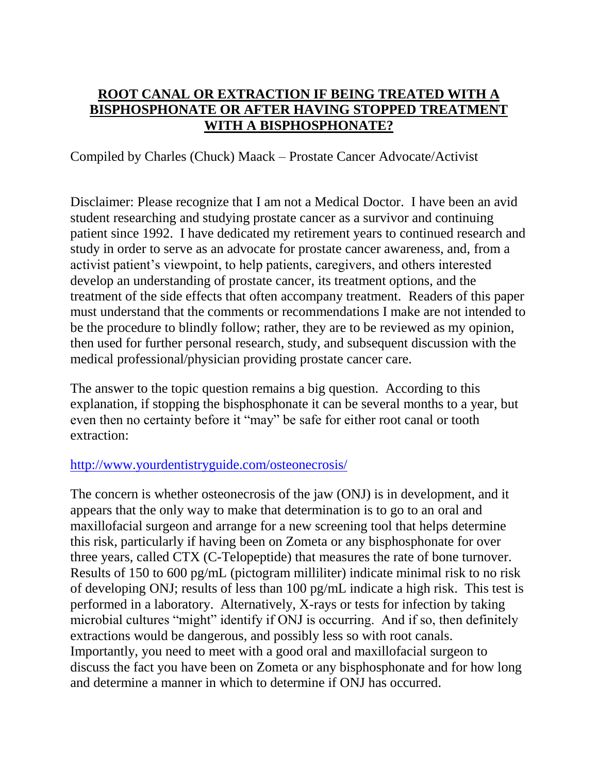## **ROOT CANAL OR EXTRACTION IF BEING TREATED WITH A BISPHOSPHONATE OR AFTER HAVING STOPPED TREATMENT WITH A BISPHOSPHONATE?**

## Compiled by Charles (Chuck) Maack – Prostate Cancer Advocate/Activist

Disclaimer: Please recognize that I am not a Medical Doctor. I have been an avid student researching and studying prostate cancer as a survivor and continuing patient since 1992. I have dedicated my retirement years to continued research and study in order to serve as an advocate for prostate cancer awareness, and, from a activist patient's viewpoint, to help patients, caregivers, and others interested develop an understanding of prostate cancer, its treatment options, and the treatment of the side effects that often accompany treatment. Readers of this paper must understand that the comments or recommendations I make are not intended to be the procedure to blindly follow; rather, they are to be reviewed as my opinion, then used for further personal research, study, and subsequent discussion with the medical professional/physician providing prostate cancer care.

The answer to the topic question remains a big question. According to this explanation, if stopping the bisphosphonate it can be several months to a year, but even then no certainty before it "may" be safe for either root canal or tooth extraction:

## <http://www.yourdentistryguide.com/osteonecrosis/>

The concern is whether osteonecrosis of the jaw (ONJ) is in development, and it appears that the only way to make that determination is to go to an oral and maxillofacial surgeon and arrange for a new screening tool that helps determine this risk, particularly if having been on Zometa or any bisphosphonate for over three years, called CTX (C-Telopeptide) that measures the rate of bone turnover. Results of 150 to 600 pg/mL (pictogram milliliter) indicate minimal risk to no risk of developing ONJ; results of less than 100 pg/mL indicate a high risk. This test is performed in a laboratory. Alternatively, X-rays or tests for infection by taking microbial cultures "might" identify if ONJ is occurring. And if so, then definitely extractions would be dangerous, and possibly less so with root canals. Importantly, you need to meet with a good oral and maxillofacial surgeon to discuss the fact you have been on Zometa or any bisphosphonate and for how long and determine a manner in which to determine if ONJ has occurred.